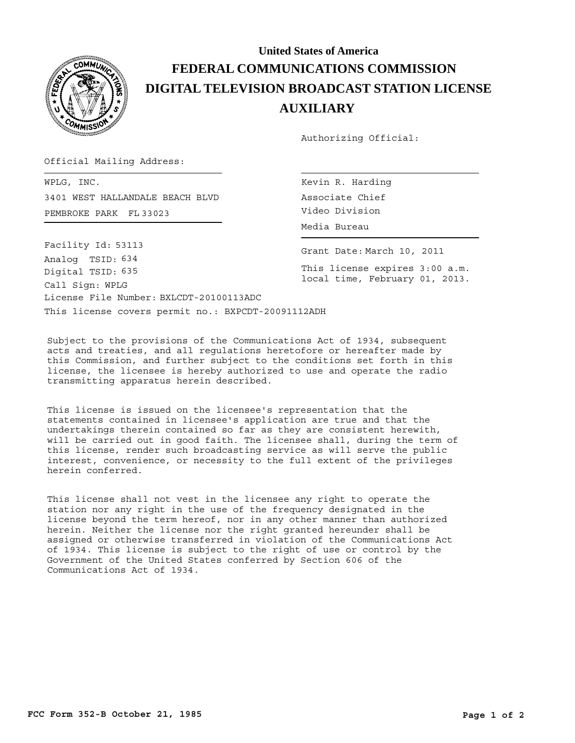

## **United States of America FEDERAL COMMUNICATIONS COMMISSION DIGITAL TELEVISION BROADCAST STATION LICENSE AUXILIARY**

Authorizing Official:

Official Mailing Address:

PEMBROKE PARK FL 33023 Video Division WPLG, INC. 3401 WEST HALLANDALE BEACH BLVD

Kevin R. Harding Associate Chief Media Bureau

Grant Date: March 10, 2011

This license expires 3:00 a.m. local time, February 01, 2013.

This license covers permit no.: BXPCDT-20091112ADH License File Number: BXLCDT-20100113ADC Call Sign: WPLG Facility Id: 53113 Digital TSID: 635 Analog TSID: 634

Subject to the provisions of the Communications Act of 1934, subsequent acts and treaties, and all regulations heretofore or hereafter made by this Commission, and further subject to the conditions set forth in this license, the licensee is hereby authorized to use and operate the radio transmitting apparatus herein described.

This license is issued on the licensee's representation that the statements contained in licensee's application are true and that the undertakings therein contained so far as they are consistent herewith, will be carried out in good faith. The licensee shall, during the term of this license, render such broadcasting service as will serve the public interest, convenience, or necessity to the full extent of the privileges herein conferred.

This license shall not vest in the licensee any right to operate the station nor any right in the use of the frequency designated in the license beyond the term hereof, nor in any other manner than authorized herein. Neither the license nor the right granted hereunder shall be assigned or otherwise transferred in violation of the Communications Act of 1934. This license is subject to the right of use or control by the Government of the United States conferred by Section 606 of the Communications Act of 1934.